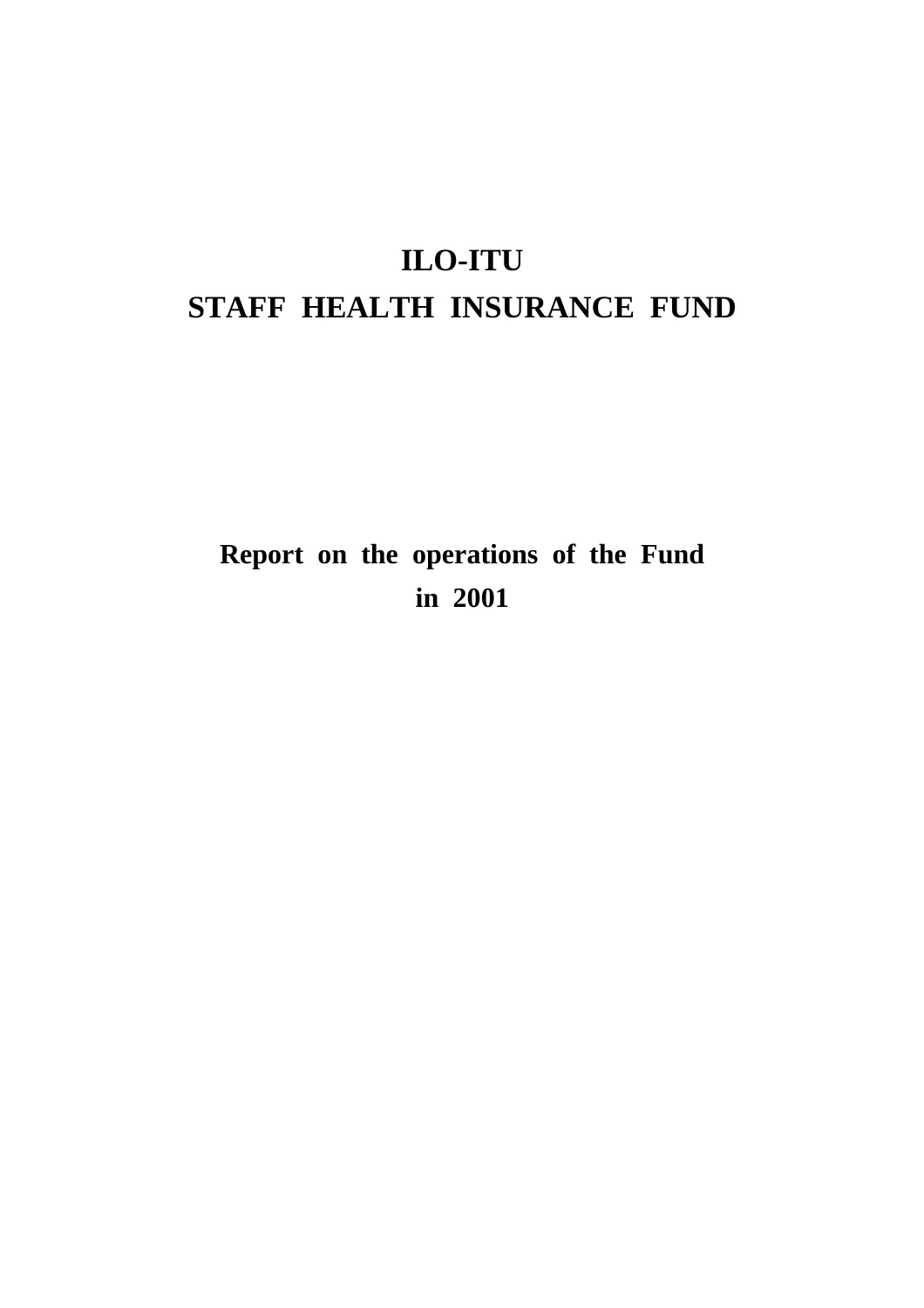# **ILO-ITU STAFF HEALTH INSURANCE FUND**

# **Report on the operations of the Fund in 2001**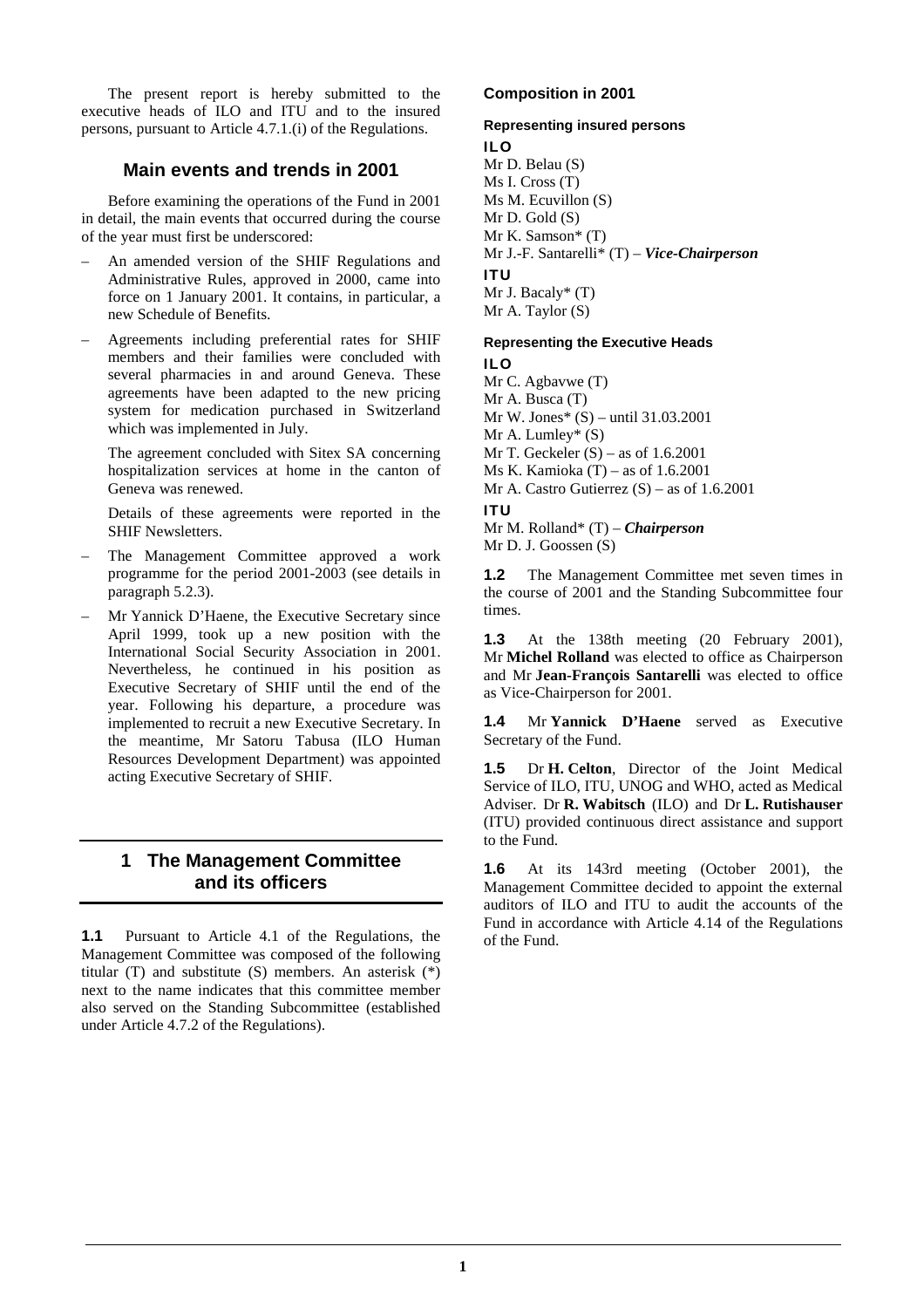The present report is hereby submitted to the executive heads of ILO and ITU and to the insured persons, pursuant to Article 4.7.1.(i) of the Regulations.

# **Main events and trends in 2001**

 Before examining the operations of the Fund in 2001 in detail, the main events that occurred during the course of the year must first be underscored:

- An amended version of the SHIF Regulations and Administrative Rules, approved in 2000, came into force on 1 January 2001. It contains, in particular, a new Schedule of Benefits.
- Agreements including preferential rates for SHIF members and their families were concluded with several pharmacies in and around Geneva. These agreements have been adapted to the new pricing system for medication purchased in Switzerland which was implemented in July.

 The agreement concluded with Sitex SA concerning hospitalization services at home in the canton of Geneva was renewed.

 Details of these agreements were reported in the SHIF Newsletters.

- The Management Committee approved a work programme for the period 2001-2003 (see details in paragraph 5.2.3).
- Mr Yannick D'Haene, the Executive Secretary since April 1999, took up a new position with the International Social Security Association in 2001. Nevertheless, he continued in his position as Executive Secretary of SHIF until the end of the year. Following his departure, a procedure was implemented to recruit a new Executive Secretary. In the meantime, Mr Satoru Tabusa (ILO Human Resources Development Department) was appointed acting Executive Secretary of SHIF.

# **1 The Management Committee and its officers**

**1.1** Pursuant to Article 4.1 of the Regulations, the Management Committee was composed of the following titular (T) and substitute (S) members. An asterisk (\*) next to the name indicates that this committee member also served on the Standing Subcommittee (established under Article 4.7.2 of the Regulations).

# **Composition in 2001**

## **Representing insured persons ILO**

Mr D. Belau (S) Ms I. Cross (T) Ms M. Ecuvillon (S) Mr D. Gold (S) Mr K. Samson\* (T) Mr J.-F. Santarelli\* (T) – *Vice-Chairperson* **ITU**  Mr J. Bacaly\* (T) Mr A. Taylor (S)

## **Representing the Executive Heads ILO**

Mr C. Agbavwe (T) Mr A. Busca (T) Mr W. Jones\* (S) – until 31.03.2001 Mr A. Lumley\*  $(S)$ Mr T. Geckeler  $(S)$  – as of 1.6.2001 Ms K. Kamioka (T) – as of 1.6.2001 Mr A. Castro Gutierrez  $(S)$  – as of 1.6.2001 **ITU**  Mr M. Rolland\* (T) – *Chairperson* 

Mr D. J. Goossen (S)

**1.2** The Management Committee met seven times in the course of 2001 and the Standing Subcommittee four times.

**1.3** At the 138th meeting (20 February 2001), Mr **Michel Rolland** was elected to office as Chairperson and Mr **Jean-François Santarelli** was elected to office as Vice-Chairperson for 2001.

**1.4** Mr **Yannick D'Haene** served as Executive Secretary of the Fund.

**1.5** Dr **H. Celton**, Director of the Joint Medical Service of ILO, ITU, UNOG and WHO, acted as Medical Adviser. Dr **R. Wabitsch** (ILO) and Dr **L. Rutishauser** (ITU) provided continuous direct assistance and support to the Fund.

**1.6** At its 143rd meeting (October 2001), the Management Committee decided to appoint the external auditors of ILO and ITU to audit the accounts of the Fund in accordance with Article 4.14 of the Regulations of the Fund.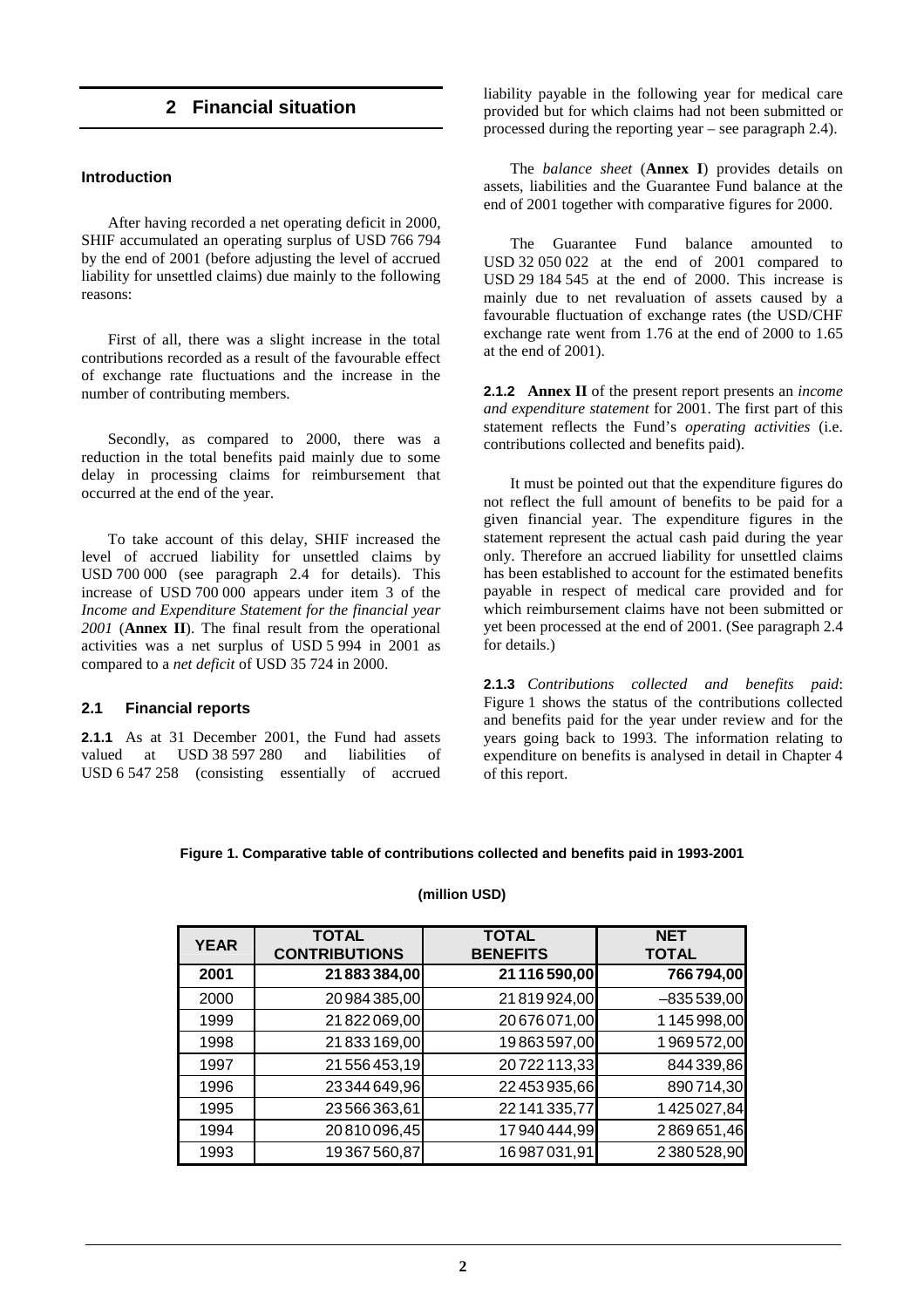# **2 Financial situation**

#### **Introduction**

 After having recorded a net operating deficit in 2000, SHIF accumulated an operating surplus of USD 766 794 by the end of 2001 (before adjusting the level of accrued liability for unsettled claims) due mainly to the following reasons:

 First of all, there was a slight increase in the total contributions recorded as a result of the favourable effect of exchange rate fluctuations and the increase in the number of contributing members.

 Secondly, as compared to 2000, there was a reduction in the total benefits paid mainly due to some delay in processing claims for reimbursement that occurred at the end of the year.

 To take account of this delay, SHIF increased the level of accrued liability for unsettled claims by USD 700 000 (see paragraph 2.4 for details). This increase of USD 700 000 appears under item 3 of the *Income and Expenditure Statement for the financial year 2001* (**Annex II**). The final result from the operational activities was a net surplus of USD 5 994 in 2001 as compared to a *net deficit* of USD 35 724 in 2000.

## **2.1 Financial reports**

**2.1.1** As at 31 December 2001, the Fund had assets valued at USD 38 597 280 and liabilities of USD 6 547 258 (consisting essentially of accrued liability payable in the following year for medical care provided but for which claims had not been submitted or processed during the reporting year – see paragraph 2.4).

 The *balance sheet* (**Annex I**) provides details on assets, liabilities and the Guarantee Fund balance at the end of 2001 together with comparative figures for 2000.

 The Guarantee Fund balance amounted to USD 32 050 022 at the end of 2001 compared to USD 29 184 545 at the end of 2000. This increase is mainly due to net revaluation of assets caused by a favourable fluctuation of exchange rates (the USD/CHF exchange rate went from 1.76 at the end of 2000 to 1.65 at the end of 2001).

**2.1.2 Annex II** of the present report presents an *income and expenditure statement* for 2001. The first part of this statement reflects the Fund's *operating activities* (i.e. contributions collected and benefits paid).

 It must be pointed out that the expenditure figures do not reflect the full amount of benefits to be paid for a given financial year. The expenditure figures in the statement represent the actual cash paid during the year only. Therefore an accrued liability for unsettled claims has been established to account for the estimated benefits payable in respect of medical care provided and for which reimbursement claims have not been submitted or yet been processed at the end of 2001. (See paragraph 2.4 for details.)

**2.1.3** *Contributions collected and benefits paid*: Figure 1 shows the status of the contributions collected and benefits paid for the year under review and for the years going back to 1993. The information relating to expenditure on benefits is analysed in detail in Chapter 4 of this report.

#### **Figure 1. Comparative table of contributions collected and benefits paid in 1993-2001**

#### **(million USD)**

| <b>YEAR</b> | <b>TOTAL</b><br><b>CONTRIBUTIONS</b> | <b>TOTAL</b><br><b>BENEFITS</b> | <b>NET</b><br><b>TOTAL</b> |
|-------------|--------------------------------------|---------------------------------|----------------------------|
| 2001        | 21 883 384,00                        | 21 116 590,00                   | 766794,00                  |
| 2000        | 20 984 385,00                        | 21819924,00                     | $-835539,00$               |
| 1999        | 21822069,00                          | 20676071,00                     | 1145998,00                 |
| 1998        | 21833169,00                          | 19863597,00                     | 1969572,00                 |
| 1997        | 21 556 453,19                        | 20722113,33                     | 844 339,86                 |
| 1996        | 23 344 649,96                        | 22 453 935,66                   | 890714,30                  |
| 1995        | 23566363,61                          | 22 141 335,77                   | 1425027,84                 |
| 1994        | 20810096,45                          | 17940444,99                     | 2869651,46                 |
| 1993        | 19367560,87                          | 16987031,91                     | 2380528,90                 |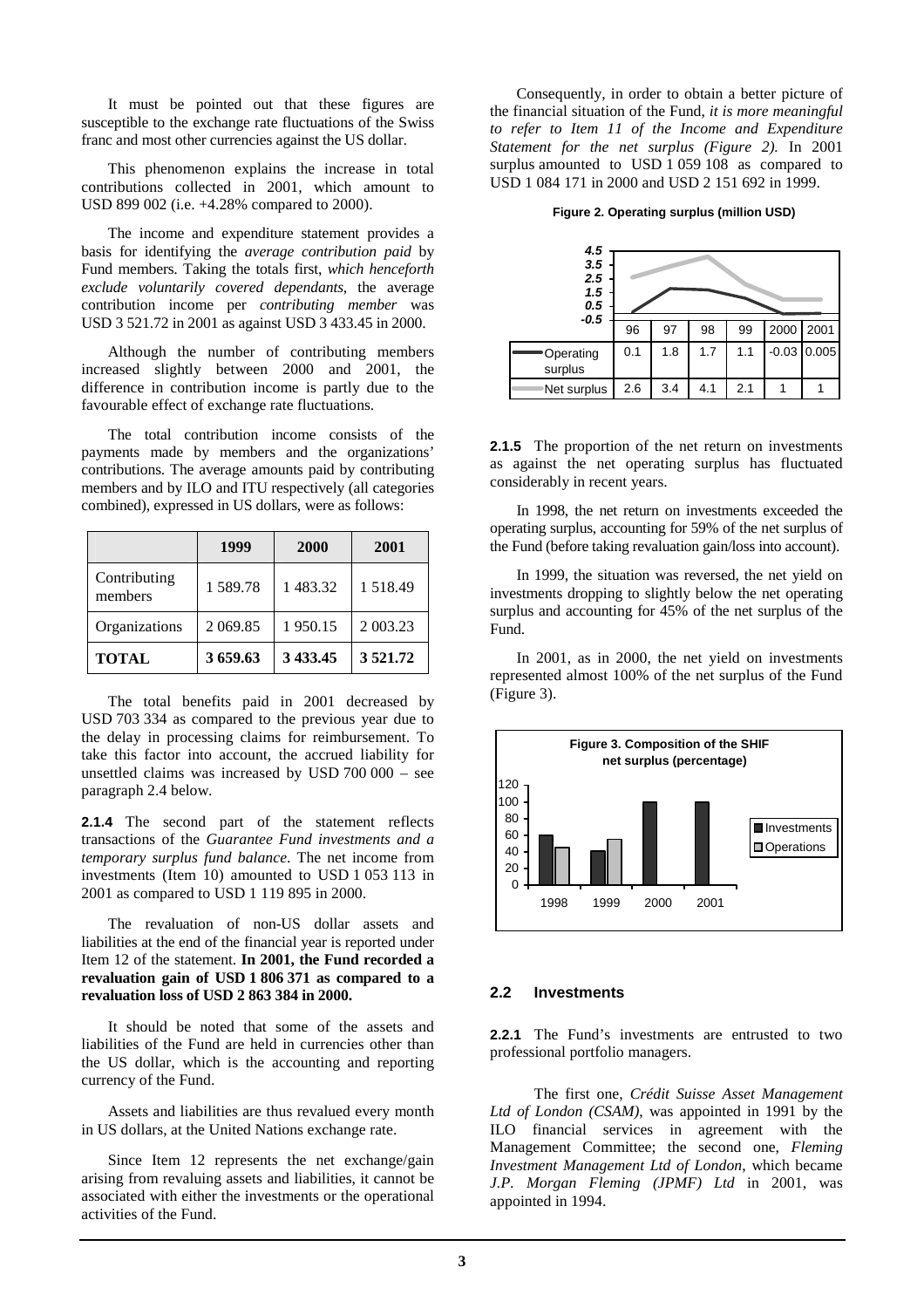It must be pointed out that these figures are susceptible to the exchange rate fluctuations of the Swiss franc and most other currencies against the US dollar.

 This phenomenon explains the increase in total contributions collected in 2001, which amount to USD 899 002 (i.e. +4.28% compared to 2000).

 The income and expenditure statement provides a basis for identifying the *average contribution paid* by Fund members. Taking the totals first, *which henceforth exclude voluntarily covered dependants*, the average contribution income per *contributing member* was USD 3 521.72 in 2001 as against USD 3 433.45 in 2000.

 Although the number of contributing members increased slightly between 2000 and 2001, the difference in contribution income is partly due to the favourable effect of exchange rate fluctuations.

 The total contribution income consists of the payments made by members and the organizations' contributions. The average amounts paid by contributing members and by ILO and ITU respectively (all categories combined), expressed in US dollars, were as follows:

|                         | 1999       | 2000     | 2001     |
|-------------------------|------------|----------|----------|
| Contributing<br>members | 1589.78    | 1 483.32 | 1518.49  |
| Organizations           | 2 0 6 9.85 | 1950.15  | 2 003.23 |
| <b>TOTAL</b>            | 3659.63    | 3 433.45 | 3521.72  |

 The total benefits paid in 2001 decreased by USD 703 334 as compared to the previous year due to the delay in processing claims for reimbursement. To take this factor into account, the accrued liability for unsettled claims was increased by USD 700 000 – see paragraph 2.4 below.

**2.1.4** The second part of the statement reflects transactions of the *Guarantee Fund investments and a temporary surplus fund balance*. The net income from investments (Item 10) amounted to USD 1 053 113 in 2001 as compared to USD 1 119 895 in 2000.

 The revaluation of non-US dollar assets and liabilities at the end of the financial year is reported under Item 12 of the statement. **In 2001, the Fund recorded a revaluation gain of USD 1 806 371 as compared to a revaluation loss of USD 2 863 384 in 2000.**

 It should be noted that some of the assets and liabilities of the Fund are held in currencies other than the US dollar, which is the accounting and reporting currency of the Fund.

 Assets and liabilities are thus revalued every month in US dollars, at the United Nations exchange rate.

 Since Item 12 represents the net exchange/gain arising from revaluing assets and liabilities, it cannot be associated with either the investments or the operational activities of the Fund.

 Consequently, in order to obtain a better picture of the financial situation of the Fund, *it is more meaningful to refer to Item 11 of the Income and Expenditure Statement for the net surplus (Figure 2).* In 2001 surplus amounted to USD 1 059 108 as compared to USD 1 084 171 in 2000 and USD 2 151 692 in 1999.

#### **Figure 2. Operating surplus (million USD)**

| 4.5<br>3.5<br>2.5<br>1.5<br>0.5 |     |     |     |     |      |               |
|---------------------------------|-----|-----|-----|-----|------|---------------|
| $-0.5$                          | 96  | 97  | 98  | 99  | 2000 | 2001          |
| Operating<br>surplus            | 0.1 | 1.8 | 1.7 | 1.1 |      | $-0.03$ 0.005 |
| Net surplus                     | 2.6 | 3.4 | 4.1 | 2.1 |      |               |

**2.1.5** The proportion of the net return on investments as against the net operating surplus has fluctuated considerably in recent years.

 In 1998, the net return on investments exceeded the operating surplus, accounting for 59% of the net surplus of the Fund (before taking revaluation gain/loss into account).

 In 1999, the situation was reversed, the net yield on investments dropping to slightly below the net operating surplus and accounting for 45% of the net surplus of the Fund.

 In 2001, as in 2000, the net yield on investments represented almost 100% of the net surplus of the Fund (Figure 3).



# **2.2 Investments**

**2.2.1** The Fund's investments are entrusted to two professional portfolio managers.

 The first one, *Crédit Suisse Asset Management Ltd of London (CSAM)*, was appointed in 1991 by the ILO financial services in agreement with the Management Committee; the second one, *Fleming Investment Management Ltd of London*, which became *J.P. Morgan Fleming (JPMF) Ltd* in 2001, was appointed in 1994.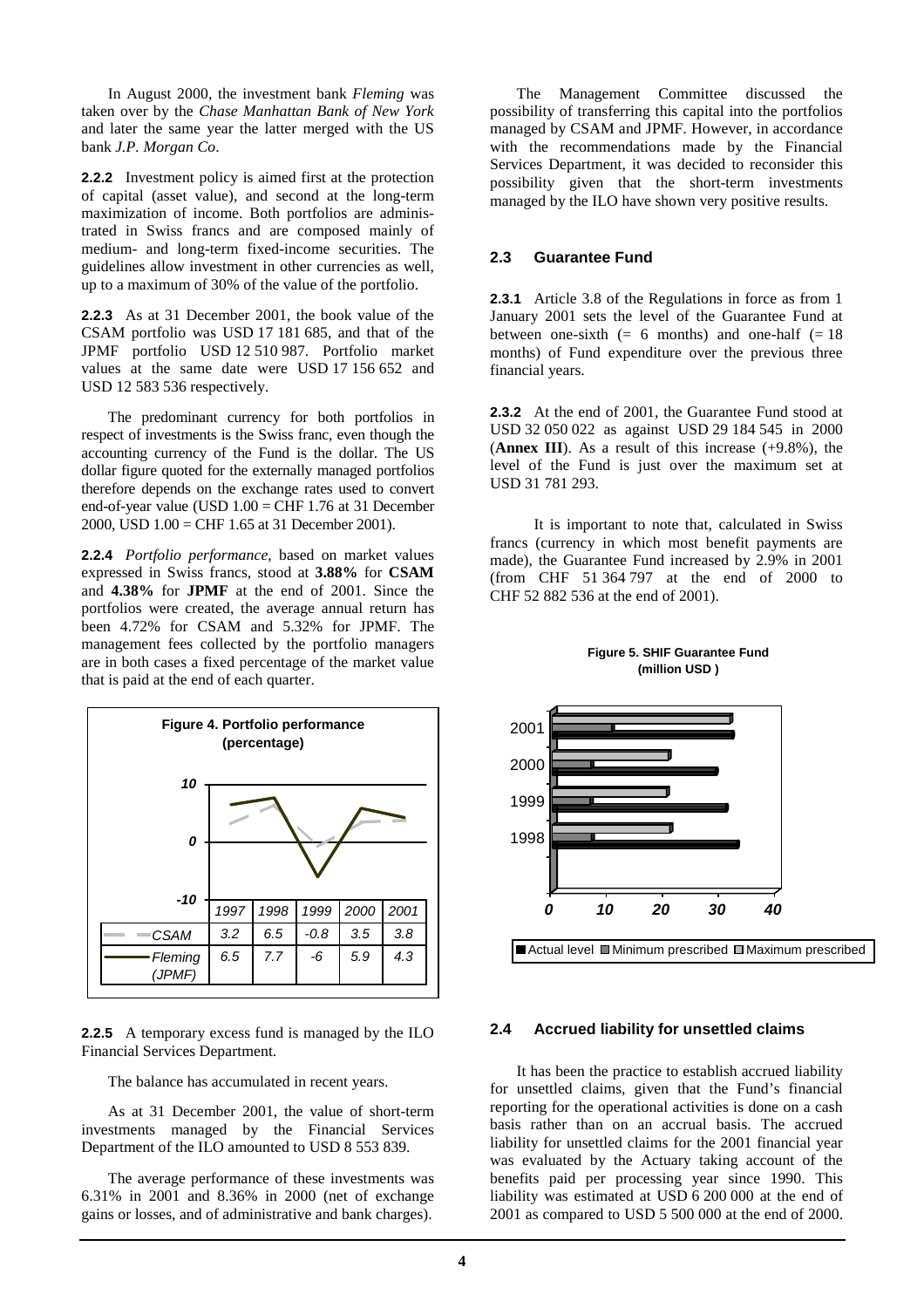In August 2000, the investment bank *Fleming* was taken over by the *Chase Manhattan Bank of New York*  and later the same year the latter merged with the US bank *J.P. Morgan Co*.

**2.2.2** Investment policy is aimed first at the protection of capital (asset value), and second at the long-term maximization of income. Both portfolios are administrated in Swiss francs and are composed mainly of medium- and long-term fixed-income securities. The guidelines allow investment in other currencies as well, up to a maximum of 30% of the value of the portfolio.

**2.2.3** As at 31 December 2001, the book value of the CSAM portfolio was USD 17 181 685, and that of the JPMF portfolio USD 12 510 987. Portfolio market values at the same date were USD 17 156 652 and USD 12 583 536 respectively.

 The predominant currency for both portfolios in respect of investments is the Swiss franc, even though the accounting currency of the Fund is the dollar. The US dollar figure quoted for the externally managed portfolios therefore depends on the exchange rates used to convert end-of-year value (USD 1.00 = CHF 1.76 at 31 December 2000, USD 1.00 = CHF 1.65 at 31 December 2001).

**2.2.4** *Portfolio performance*, based on market values expressed in Swiss francs, stood at **3.88%** for **CSAM** and **4.38%** for **JPMF** at the end of 2001. Since the portfolios were created, the average annual return has been 4.72% for CSAM and 5.32% for JPMF. The management fees collected by the portfolio managers are in both cases a fixed percentage of the market value that is paid at the end of each quarter.



**2.2.5** A temporary excess fund is managed by the ILO Financial Services Department.

The balance has accumulated in recent years.

 As at 31 December 2001, the value of short-term investments managed by the Financial Services Department of the ILO amounted to USD 8 553 839.

 The average performance of these investments was 6.31% in 2001 and 8.36% in 2000 (net of exchange gains or losses, and of administrative and bank charges).

 The Management Committee discussed the possibility of transferring this capital into the portfolios managed by CSAM and JPMF. However, in accordance with the recommendations made by the Financial Services Department, it was decided to reconsider this possibility given that the short-term investments managed by the ILO have shown very positive results.

## **2.3 Guarantee Fund**

**2.3.1** Article 3.8 of the Regulations in force as from 1 January 2001 sets the level of the Guarantee Fund at between one-sixth  $(= 6 \text{ months})$  and one-half  $(= 18 \text{ m})$ months) of Fund expenditure over the previous three financial years.

**2.3.2** At the end of 2001, the Guarantee Fund stood at USD 32 050 022 as against USD 29 184 545 in 2000 (**Annex III**). As a result of this increase (+9.8%), the level of the Fund is just over the maximum set at USD 31 781 293.

 It is important to note that, calculated in Swiss francs (currency in which most benefit payments are made), the Guarantee Fund increased by 2.9% in 2001 (from CHF 51 364 797 at the end of 2000 to CHF 52 882 536 at the end of 2001).



#### **Figure 5. SHIF Guarantee Fund (million USD )**

## **2.4 Accrued liability for unsettled claims**

 It has been the practice to establish accrued liability for unsettled claims, given that the Fund's financial reporting for the operational activities is done on a cash basis rather than on an accrual basis. The accrued liability for unsettled claims for the 2001 financial year was evaluated by the Actuary taking account of the benefits paid per processing year since 1990. This liability was estimated at USD 6 200 000 at the end of 2001 as compared to USD 5 500 000 at the end of 2000.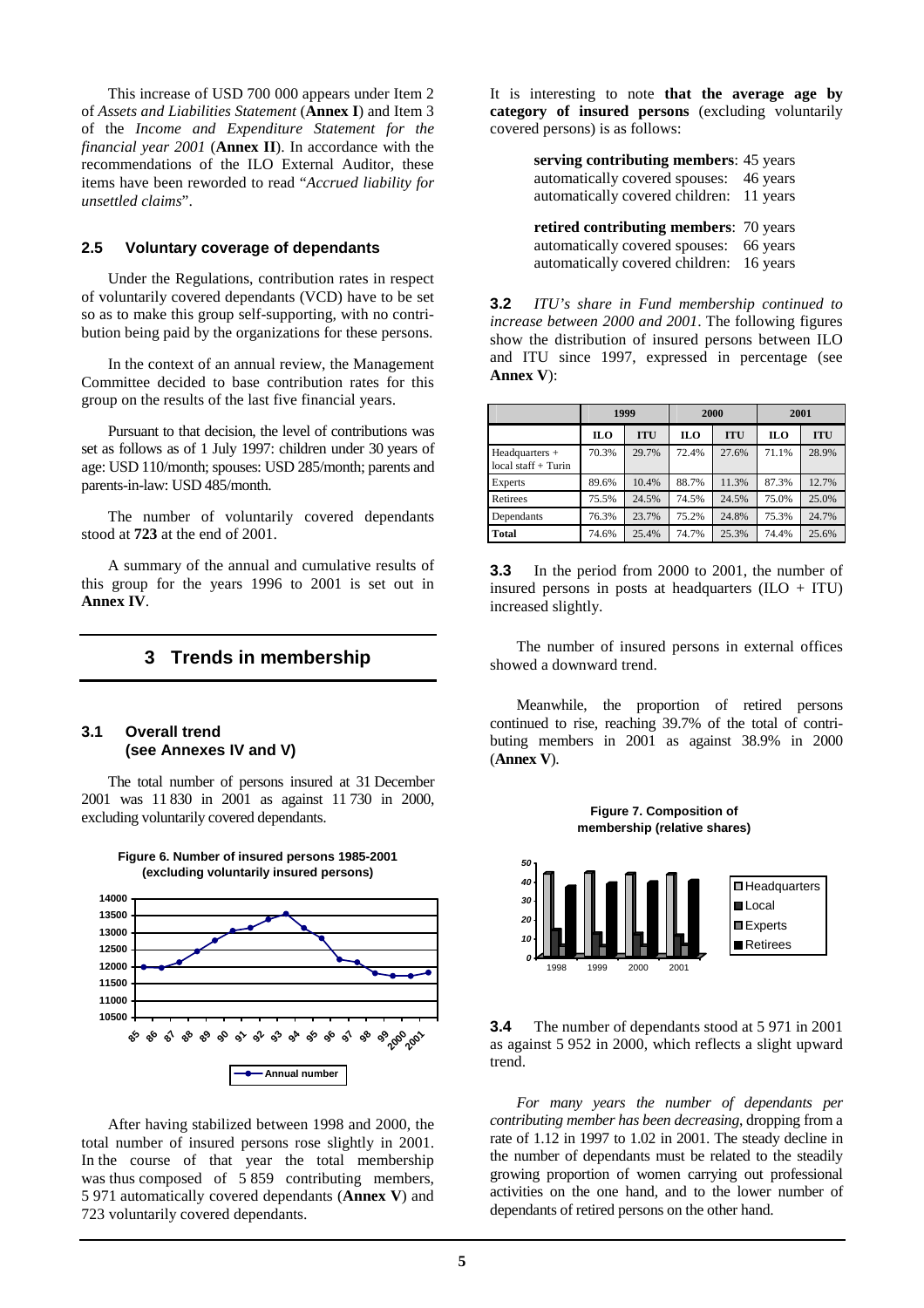This increase of USD 700 000 appears under Item 2 of *Assets and Liabilities Statement* (**Annex I**) and Item 3 of the *Income and Expenditure Statement for the financial year 2001* (**Annex II**). In accordance with the recommendations of the ILO External Auditor, these items have been reworded to read "*Accrued liability for unsettled claims*".

## **2.5 Voluntary coverage of dependants**

 Under the Regulations, contribution rates in respect of voluntarily covered dependants (VCD) have to be set so as to make this group self-supporting, with no contribution being paid by the organizations for these persons.

 In the context of an annual review, the Management Committee decided to base contribution rates for this group on the results of the last five financial years.

 Pursuant to that decision, the level of contributions was set as follows as of 1 July 1997: children under 30 years of age: USD 110/month; spouses: USD 285/month; parents and parents-in-law: USD 485/month.

 The number of voluntarily covered dependants stood at **723** at the end of 2001.

 A summary of the annual and cumulative results of this group for the years 1996 to 2001 is set out in **Annex IV**.

## **3 Trends in membership**

#### **3.1 Overall trend (see Annexes IV and V)**

 The total number of persons insured at 31 December 2001 was 11 830 in 2001 as against 11 730 in 2000, excluding voluntarily covered dependants.

**Figure 6. Number of insured persons 1985-2001**



 After having stabilized between 1998 and 2000, the total number of insured persons rose slightly in 2001. In the course of that year the total membership was thus composed of 5859 contributing members, 5 971 automatically covered dependants (**Annex V**) and 723 voluntarily covered dependants.

It is interesting to note **that the average age by category of insured persons** (excluding voluntarily covered persons) is as follows:

> **serving contributing members**: 45 years automatically covered spouses: 46 years automatically covered children: 11 years

> **retired contributing members**: 70 years automatically covered spouses: 66 years automatically covered children: 16 years

**3.2** *ITU's share in Fund membership continued to increase between 2000 and 2001*. The following figures show the distribution of insured persons between ILO and ITU since 1997, expressed in percentage (see **Annex V**):

|                                            | 1999       |            | 2000       |            | 2001       |            |
|--------------------------------------------|------------|------------|------------|------------|------------|------------|
|                                            | <b>ILO</b> | <b>ITU</b> | <b>ILO</b> | <b>ITU</b> | <b>ILO</b> | <b>ITU</b> |
| $Head quarters +$<br>$local staff + Turin$ | 70.3%      | 29.7%      | 72.4%      | 27.6%      | 71.1%      | 28.9%      |
| Experts                                    | 89.6%      | 10.4%      | 88.7%      | 11.3%      | 87.3%      | 12.7%      |
| Retirees                                   | 75.5%      | 24.5%      | 74.5%      | 24.5%      | 75.0%      | 25.0%      |
| Dependants                                 | 76.3%      | 23.7%      | 75.2%      | 24.8%      | 75.3%      | 24.7%      |
| <b>Total</b>                               | 74.6%      | 25.4%      | 74.7%      | 25.3%      | 74.4%      | 25.6%      |

**3.3** In the period from 2000 to 2001, the number of insured persons in posts at headquarters  $(IIO + ITU)$ increased slightly.

 The number of insured persons in external offices showed a downward trend.

 Meanwhile, the proportion of retired persons continued to rise, reaching 39.7% of the total of contributing members in 2001 as against 38.9% in 2000 (**Annex V**).



**3.4** The number of dependants stood at 5 971 in 2001 as against 5 952 in 2000, which reflects a slight upward trend.

*For many years the number of dependants per contributing member has been decreasing*, dropping from a rate of 1.12 in 1997 to 1.02 in 2001. The steady decline in the number of dependants must be related to the steadily growing proportion of women carrying out professional activities on the one hand, and to the lower number of dependants of retired persons on the other hand.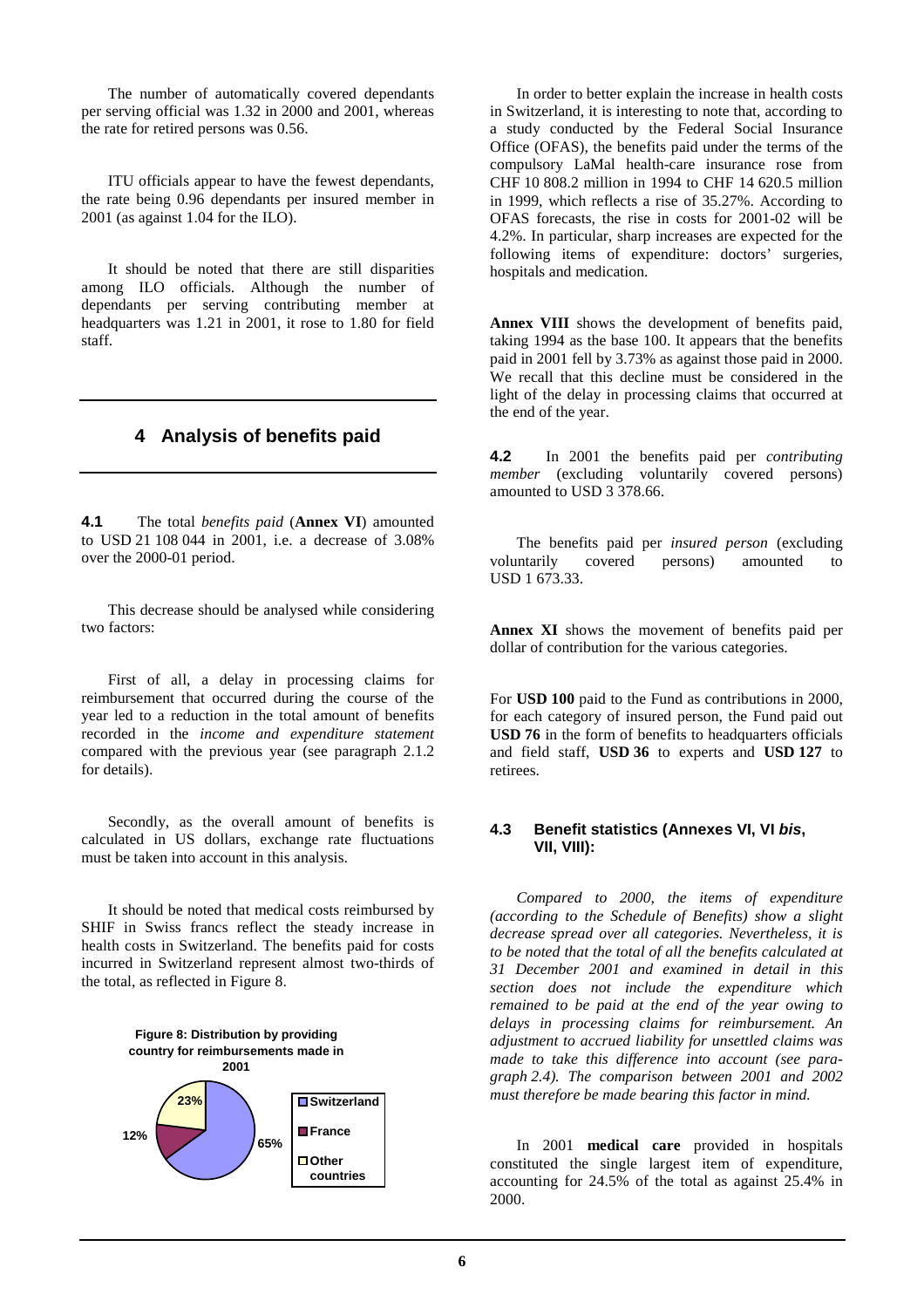The number of automatically covered dependants per serving official was 1.32 in 2000 and 2001, whereas the rate for retired persons was 0.56.

 ITU officials appear to have the fewest dependants, the rate being 0.96 dependants per insured member in 2001 (as against 1.04 for the ILO).

 It should be noted that there are still disparities among ILO officials. Although the number of dependants per serving contributing member at headquarters was 1.21 in 2001, it rose to 1.80 for field staff.

# **4 Analysis of benefits paid**

**4.1** The total *benefits paid* (**Annex VI**) amounted to USD 21 108 044 in 2001, i.e. a decrease of 3.08% over the 2000-01 period.

 This decrease should be analysed while considering two factors:

 First of all, a delay in processing claims for reimbursement that occurred during the course of the year led to a reduction in the total amount of benefits recorded in the *income and expenditure statement* compared with the previous year (see paragraph 2.1.2 for details).

 Secondly, as the overall amount of benefits is calculated in US dollars, exchange rate fluctuations must be taken into account in this analysis.

 It should be noted that medical costs reimbursed by SHIF in Swiss francs reflect the steady increase in health costs in Switzerland. The benefits paid for costs incurred in Switzerland represent almost two-thirds of the total, as reflected in Figure 8.



 In order to better explain the increase in health costs in Switzerland, it is interesting to note that, according to a study conducted by the Federal Social Insurance Office (OFAS), the benefits paid under the terms of the compulsory LaMal health-care insurance rose from CHF 10 808.2 million in 1994 to CHF 14 620.5 million in 1999, which reflects a rise of 35.27%. According to OFAS forecasts, the rise in costs for 2001-02 will be 4.2%. In particular, sharp increases are expected for the following items of expenditure: doctors' surgeries, hospitals and medication.

**Annex VIII** shows the development of benefits paid, taking 1994 as the base 100. It appears that the benefits paid in 2001 fell by 3.73% as against those paid in 2000. We recall that this decline must be considered in the light of the delay in processing claims that occurred at the end of the year.

**4.2** In 2001 the benefits paid per *contributing member* (excluding voluntarily covered persons) amounted to USD 3 378.66.

 The benefits paid per *insured person* (excluding voluntarily covered persons) amounted to USD 1 673.33.

**Annex XI** shows the movement of benefits paid per dollar of contribution for the various categories.

For **USD 100** paid to the Fund as contributions in 2000, for each category of insured person, the Fund paid out **USD 76** in the form of benefits to headquarters officials and field staff, **USD 36** to experts and **USD 127** to retirees.

## **4.3 Benefit statistics (Annexes VI, VI bis, VII, VIII):**

 *Compared to 2000, the items of expenditure (according to the Schedule of Benefits) show a slight decrease spread over all categories. Nevertheless, it is to be noted that the total of all the benefits calculated at 31 December 2001 and examined in detail in this section does not include the expenditure which remained to be paid at the end of the year owing to delays in processing claims for reimbursement. An adjustment to accrued liability for unsettled claims was made to take this difference into account (see paragraph 2.4). The comparison between 2001 and 2002 must therefore be made bearing this factor in mind.* 

 In 2001 **medical care** provided in hospitals constituted the single largest item of expenditure, accounting for 24.5% of the total as against 25.4% in 2000.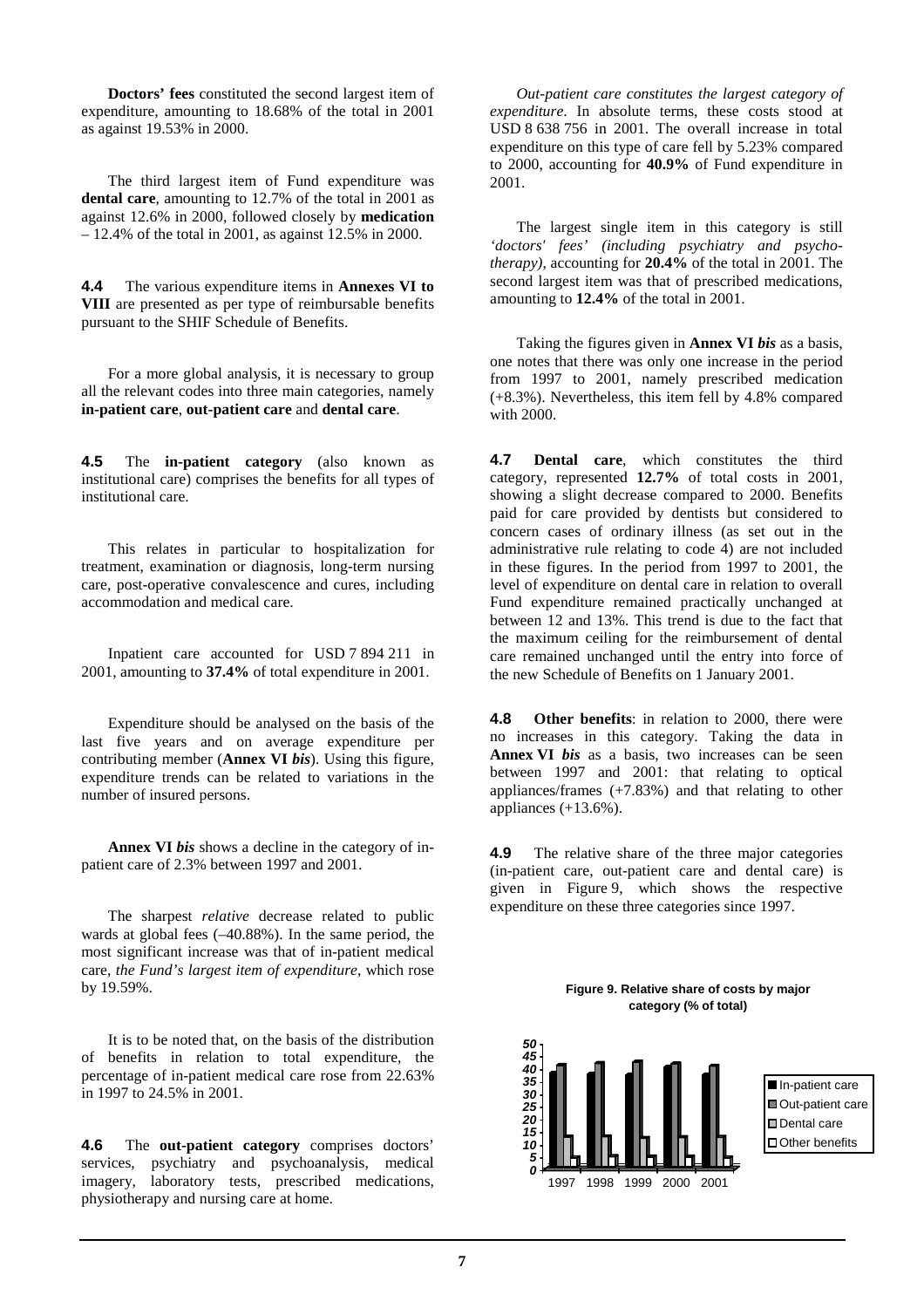**Doctors' fees** constituted the second largest item of expenditure, amounting to 18.68% of the total in 2001 as against 19.53% in 2000.

 The third largest item of Fund expenditure was **dental care**, amounting to 12.7% of the total in 2001 as against 12.6% in 2000, followed closely by **medication** – 12.4% of the total in 2001, as against 12.5% in 2000.

**4.4** The various expenditure items in **Annexes VI to VIII** are presented as per type of reimbursable benefits pursuant to the SHIF Schedule of Benefits.

 For a more global analysis, it is necessary to group all the relevant codes into three main categories, namely **in-patient care**, **out-patient care** and **dental care**.

**4.5** The **in-patient category** (also known as institutional care) comprises the benefits for all types of institutional care.

 This relates in particular to hospitalization for treatment, examination or diagnosis, long-term nursing care, post-operative convalescence and cures, including accommodation and medical care.

 Inpatient care accounted for USD 7 894 211 in 2001, amounting to **37.4%** of total expenditure in 2001.

 Expenditure should be analysed on the basis of the last five years and on average expenditure per contributing member (**Annex VI** *bis*). Using this figure, expenditure trends can be related to variations in the number of insured persons.

**Annex VI** *bis* shows a decline in the category of inpatient care of 2.3% between 1997 and 2001.

 The sharpest *relative* decrease related to public wards at global fees (–40.88%). In the same period, the most significant increase was that of in-patient medical care, *the Fund's largest item of expenditure*, which rose by 19.59%.

 It is to be noted that, on the basis of the distribution of benefits in relation to total expenditure, the percentage of in-patient medical care rose from 22.63% in 1997 to 24.5% in 2001.

**4.6** The **out-patient category** comprises doctors' services, psychiatry and psychoanalysis, medical imagery, laboratory tests, prescribed medications, physiotherapy and nursing care at home.

*Out-patient care constitutes the largest category of expenditure*. In absolute terms, these costs stood at USD 8 638 756 in 2001. The overall increase in total expenditure on this type of care fell by 5.23% compared to 2000, accounting for **40.9%** of Fund expenditure in 2001.

 The largest single item in this category is still *'doctors' fees' (including psychiatry and psychotherapy)*, accounting for **20.4%** of the total in 2001. The second largest item was that of prescribed medications, amounting to **12.4%** of the total in 2001.

 Taking the figures given in **Annex VI** *bis* as a basis, one notes that there was only one increase in the period from 1997 to 2001, namely prescribed medication (+8.3%). Nevertheless, this item fell by 4.8% compared with 2000.

**4.7 Dental care**, which constitutes the third category, represented **12.7%** of total costs in 2001, showing a slight decrease compared to 2000. Benefits paid for care provided by dentists but considered to concern cases of ordinary illness (as set out in the administrative rule relating to code 4) are not included in these figures. In the period from 1997 to 2001, the level of expenditure on dental care in relation to overall Fund expenditure remained practically unchanged at between 12 and 13%. This trend is due to the fact that the maximum ceiling for the reimbursement of dental care remained unchanged until the entry into force of the new Schedule of Benefits on 1 January 2001.

**4.8 Other benefits**: in relation to 2000, there were no increases in this category. Taking the data in **Annex VI** *bis* as a basis, two increases can be seen between 1997 and 2001: that relating to optical appliances/frames (+7.83%) and that relating to other appliances  $(+13.6\%)$ .

**4.9** The relative share of the three major categories (in-patient care, out-patient care and dental care) is given in Figure 9, which shows the respective expenditure on these three categories since 1997.



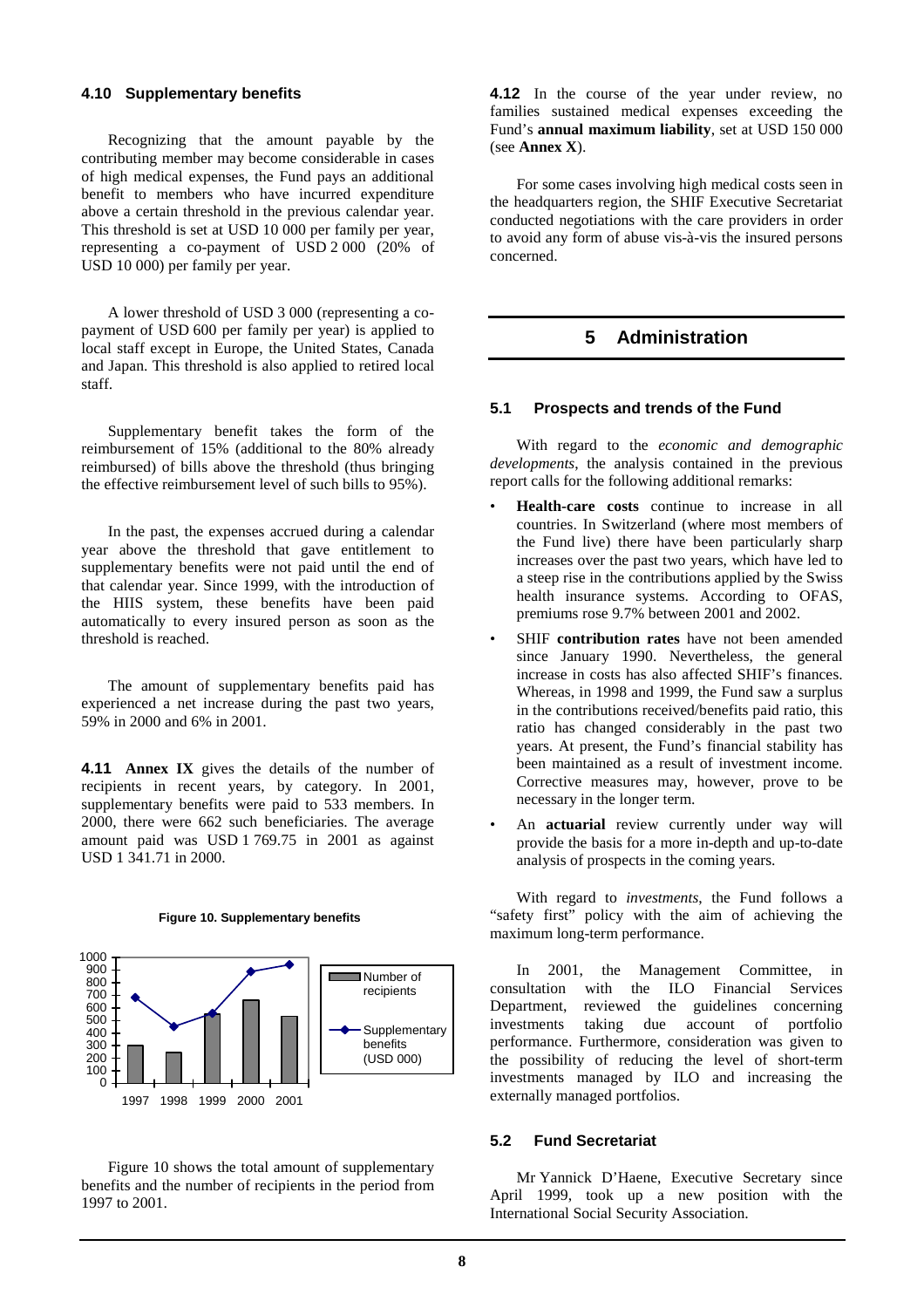#### **4.10 Supplementary benefits**

 Recognizing that the amount payable by the contributing member may become considerable in cases of high medical expenses, the Fund pays an additional benefit to members who have incurred expenditure above a certain threshold in the previous calendar year. This threshold is set at USD 10 000 per family per year, representing a co-payment of USD 2 000 (20% of USD 10 000) per family per year.

 A lower threshold of USD 3 000 (representing a copayment of USD 600 per family per year) is applied to local staff except in Europe, the United States, Canada and Japan. This threshold is also applied to retired local staff.

 Supplementary benefit takes the form of the reimbursement of 15% (additional to the 80% already reimbursed) of bills above the threshold (thus bringing the effective reimbursement level of such bills to 95%).

 In the past, the expenses accrued during a calendar year above the threshold that gave entitlement to supplementary benefits were not paid until the end of that calendar year. Since 1999, with the introduction of the HIIS system, these benefits have been paid automatically to every insured person as soon as the threshold is reached.

 The amount of supplementary benefits paid has experienced a net increase during the past two years, 59% in 2000 and 6% in 2001.

**4.11 Annex IX** gives the details of the number of recipients in recent years, by category. In 2001, supplementary benefits were paid to 533 members. In 2000, there were 662 such beneficiaries. The average amount paid was USD 1 769.75 in 2001 as against USD 1 341.71 in 2000.





 Figure 10 shows the total amount of supplementary benefits and the number of recipients in the period from 1997 to 2001.

**4.12** In the course of the year under review, no families sustained medical expenses exceeding the Fund's **annual maximum liability**, set at USD 150 000 (see **Annex X**).

 For some cases involving high medical costs seen in the headquarters region, the SHIF Executive Secretariat conducted negotiations with the care providers in order to avoid any form of abuse vis-à-vis the insured persons concerned.

# **5 Administration**

#### **5.1 Prospects and trends of the Fund**

 With regard to the *economic and demographic developments*, the analysis contained in the previous report calls for the following additional remarks:

- **Health-care costs** continue to increase in all countries. In Switzerland (where most members of the Fund live) there have been particularly sharp increases over the past two years, which have led to a steep rise in the contributions applied by the Swiss health insurance systems. According to OFAS, premiums rose 9.7% between 2001 and 2002.
- SHIF **contribution rates** have not been amended since January 1990. Nevertheless, the general increase in costs has also affected SHIF's finances. Whereas, in 1998 and 1999, the Fund saw a surplus in the contributions received/benefits paid ratio, this ratio has changed considerably in the past two years. At present, the Fund's financial stability has been maintained as a result of investment income. Corrective measures may, however, prove to be necessary in the longer term.
- An **actuarial** review currently under way will provide the basis for a more in-depth and up-to-date analysis of prospects in the coming years.

 With regard to *investments*, the Fund follows a "safety first" policy with the aim of achieving the maximum long-term performance.

 In 2001, the Management Committee, in consultation with the ILO Financial Services Department, reviewed the guidelines concerning investments taking due account of portfolio performance. Furthermore, consideration was given to the possibility of reducing the level of short-term investments managed by ILO and increasing the externally managed portfolios.

#### **5.2 Fund Secretariat**

 Mr Yannick D'Haene, Executive Secretary since April 1999, took up a new position with the International Social Security Association.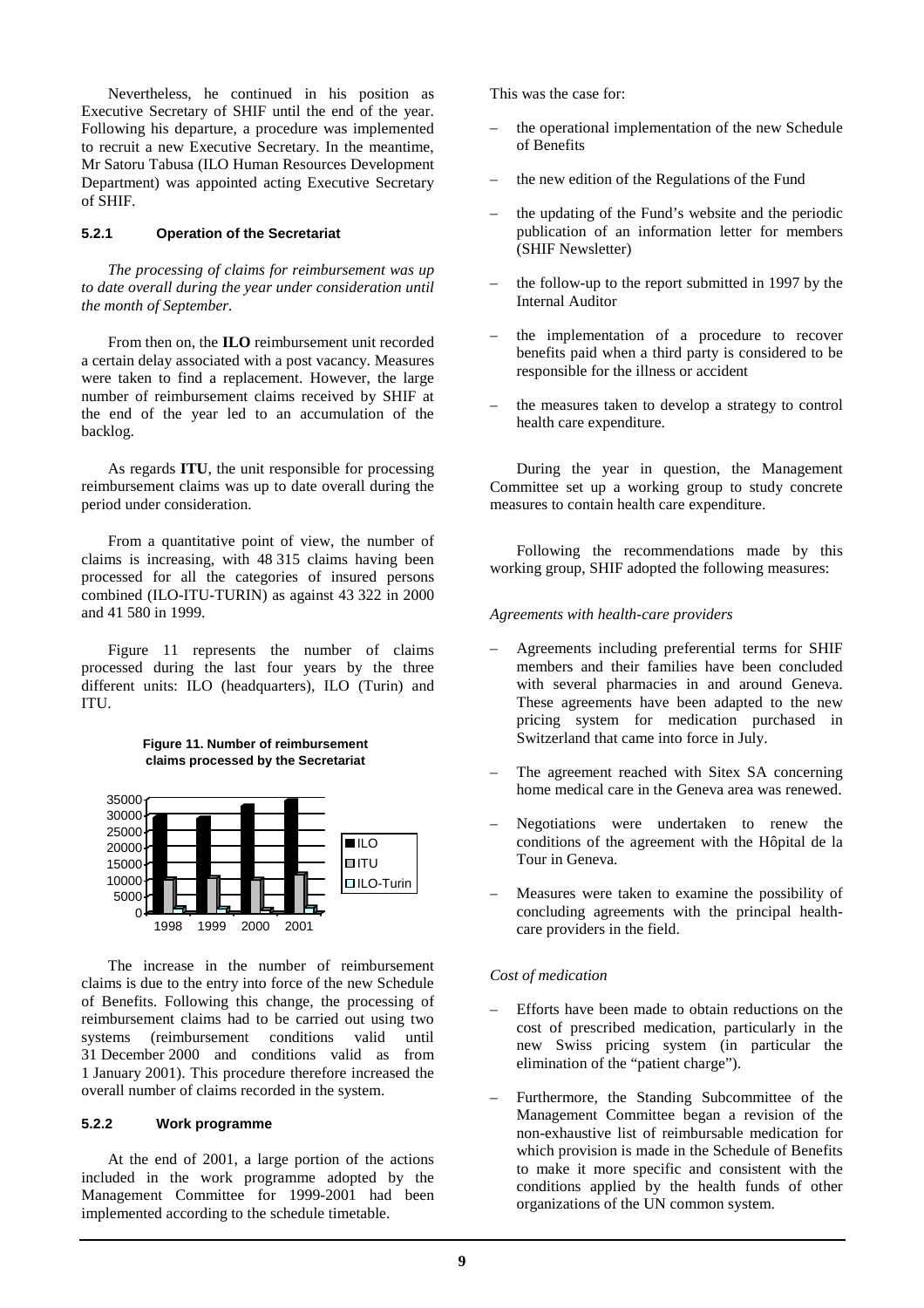Nevertheless, he continued in his position as Executive Secretary of SHIF until the end of the year. Following his departure, a procedure was implemented to recruit a new Executive Secretary. In the meantime, Mr Satoru Tabusa (ILO Human Resources Development Department) was appointed acting Executive Secretary of SHIF.

#### **5.2.1 Operation of the Secretariat**

*The processing of claims for reimbursement was up to date overall during the year under consideration until the month of September.* 

 From then on, the **ILO** reimbursement unit recorded a certain delay associated with a post vacancy. Measures were taken to find a replacement. However, the large number of reimbursement claims received by SHIF at the end of the year led to an accumulation of the backlog.

 As regards **ITU**, the unit responsible for processing reimbursement claims was up to date overall during the period under consideration.

 From a quantitative point of view, the number of claims is increasing, with 48 315 claims having been processed for all the categories of insured persons combined (ILO-ITU-TURIN) as against 43 322 in 2000 and 41 580 in 1999.

 Figure 11 represents the number of claims processed during the last four years by the three different units: ILO (headquarters), ILO (Turin) and ITU.

#### **Figure 11. Number of reimbursement claims processed by the Secretariat**



 The increase in the number of reimbursement claims is due to the entry into force of the new Schedule of Benefits. Following this change, the processing of reimbursement claims had to be carried out using two systems (reimbursement conditions valid until 31 December 2000 and conditions valid as from 1 January 2001). This procedure therefore increased the overall number of claims recorded in the system.

## **5.2.2 Work programme**

 At the end of 2001, a large portion of the actions included in the work programme adopted by the Management Committee for 1999-2001 had been implemented according to the schedule timetable.

This was the case for:

- the operational implementation of the new Schedule of Benefits
- the new edition of the Regulations of the Fund
- the updating of the Fund's website and the periodic publication of an information letter for members (SHIF Newsletter)
- the follow-up to the report submitted in 1997 by the Internal Auditor
- the implementation of a procedure to recover benefits paid when a third party is considered to be responsible for the illness or accident
- the measures taken to develop a strategy to control health care expenditure.

 During the year in question, the Management Committee set up a working group to study concrete measures to contain health care expenditure.

 Following the recommendations made by this working group, SHIF adopted the following measures:

#### *Agreements with health-care providers*

- Agreements including preferential terms for SHIF members and their families have been concluded with several pharmacies in and around Geneva. These agreements have been adapted to the new pricing system for medication purchased in Switzerland that came into force in July.
- The agreement reached with Sitex SA concerning home medical care in the Geneva area was renewed.
- Negotiations were undertaken to renew the conditions of the agreement with the Hôpital de la Tour in Geneva.
- Measures were taken to examine the possibility of concluding agreements with the principal healthcare providers in the field.

## *Cost of medication*

- Efforts have been made to obtain reductions on the cost of prescribed medication, particularly in the new Swiss pricing system (in particular the elimination of the "patient charge").
- Furthermore, the Standing Subcommittee of the Management Committee began a revision of the non-exhaustive list of reimbursable medication for which provision is made in the Schedule of Benefits to make it more specific and consistent with the conditions applied by the health funds of other organizations of the UN common system.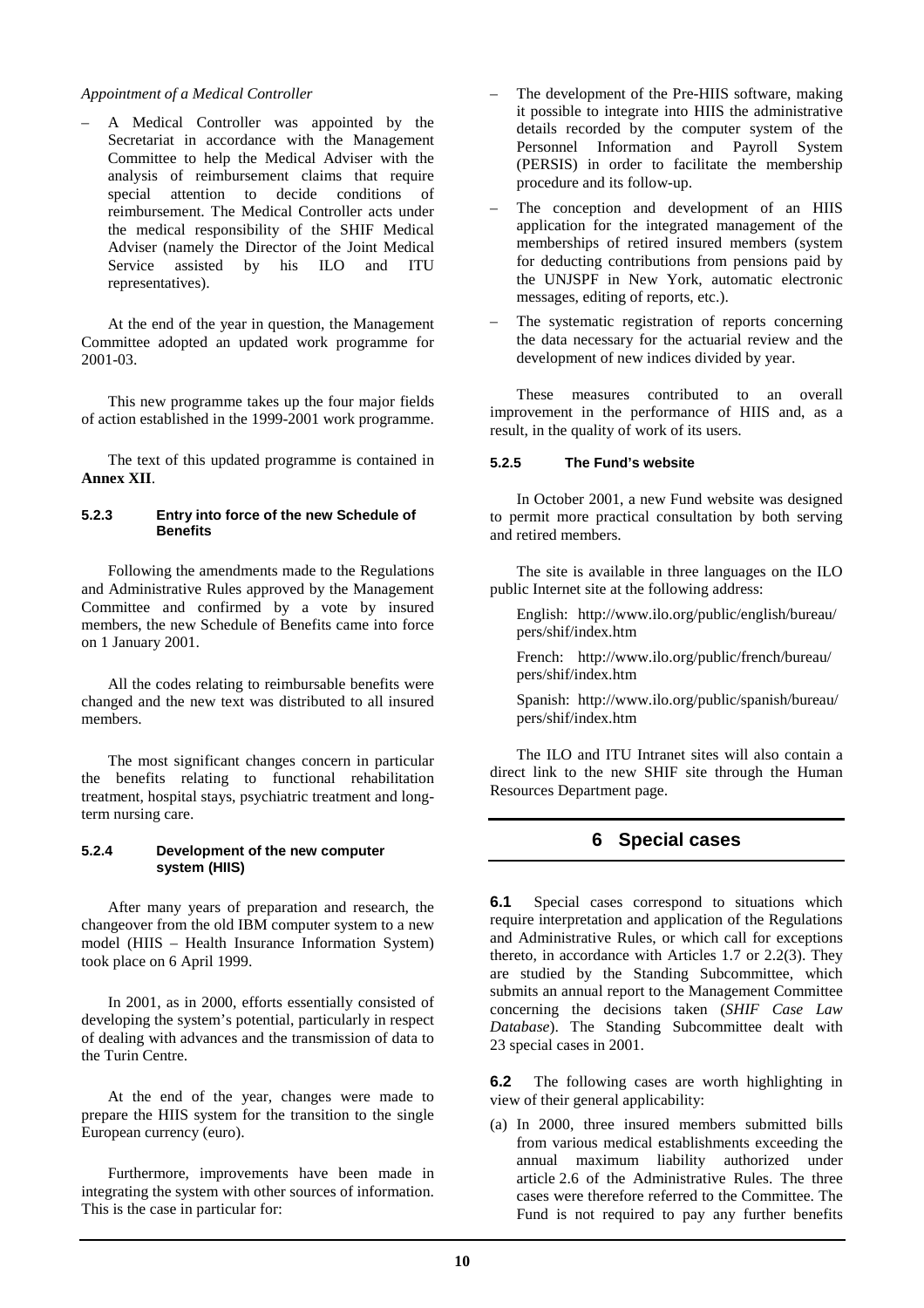#### *Appointment of a Medical Controller*

– A Medical Controller was appointed by the Secretariat in accordance with the Management Committee to help the Medical Adviser with the analysis of reimbursement claims that require special attention to decide conditions of reimbursement. The Medical Controller acts under the medical responsibility of the SHIF Medical Adviser (namely the Director of the Joint Medical Service assisted by his ILO and ITU representatives).

 At the end of the year in question, the Management Committee adopted an updated work programme for 2001-03.

 This new programme takes up the four major fields of action established in the 1999-2001 work programme.

 The text of this updated programme is contained in **Annex XII**.

#### **5.2.3 Entry into force of the new Schedule of Benefits**

 Following the amendments made to the Regulations and Administrative Rules approved by the Management Committee and confirmed by a vote by insured members, the new Schedule of Benefits came into force on 1 January 2001.

 All the codes relating to reimbursable benefits were changed and the new text was distributed to all insured members.

 The most significant changes concern in particular the benefits relating to functional rehabilitation treatment, hospital stays, psychiatric treatment and longterm nursing care.

#### **5.2.4 Development of the new computer system (HIIS)**

 After many years of preparation and research, the changeover from the old IBM computer system to a new model (HIIS – Health Insurance Information System) took place on 6 April 1999.

 In 2001, as in 2000, efforts essentially consisted of developing the system's potential, particularly in respect of dealing with advances and the transmission of data to the Turin Centre.

 At the end of the year, changes were made to prepare the HIIS system for the transition to the single European currency (euro).

 Furthermore, improvements have been made in integrating the system with other sources of information. This is the case in particular for:

- The development of the Pre-HIIS software, making it possible to integrate into HIIS the administrative details recorded by the computer system of the Personnel Information and Payroll System (PERSIS) in order to facilitate the membership procedure and its follow-up.
- The conception and development of an HIIS application for the integrated management of the memberships of retired insured members (system for deducting contributions from pensions paid by the UNJSPF in New York, automatic electronic messages, editing of reports, etc.).
- The systematic registration of reports concerning the data necessary for the actuarial review and the development of new indices divided by year.

 These measures contributed to an overall improvement in the performance of HIIS and, as a result, in the quality of work of its users.

## **5.2.5 The Fund's website**

 In October 2001, a new Fund website was designed to permit more practical consultation by both serving and retired members.

 The site is available in three languages on the ILO public Internet site at the following address:

 English: http://www.ilo.org/public/english/bureau/ pers/shif/index.htm

 French: http://www.ilo.org/public/french/bureau/ pers/shif/index.htm

 Spanish: http://www.ilo.org/public/spanish/bureau/ pers/shif/index.htm

 The ILO and ITU Intranet sites will also contain a direct link to the new SHIF site through the Human Resources Department page.

# **6 Special cases**

**6.1** Special cases correspond to situations which require interpretation and application of the Regulations and Administrative Rules, or which call for exceptions thereto, in accordance with Articles 1.7 or 2.2(3). They are studied by the Standing Subcommittee, which submits an annual report to the Management Committee concerning the decisions taken (*SHIF Case Law Database*). The Standing Subcommittee dealt with 23 special cases in 2001.

**6.2** The following cases are worth highlighting in view of their general applicability:

(a) In 2000, three insured members submitted bills from various medical establishments exceeding the annual maximum liability authorized under article 2.6 of the Administrative Rules. The three cases were therefore referred to the Committee. The Fund is not required to pay any further benefits